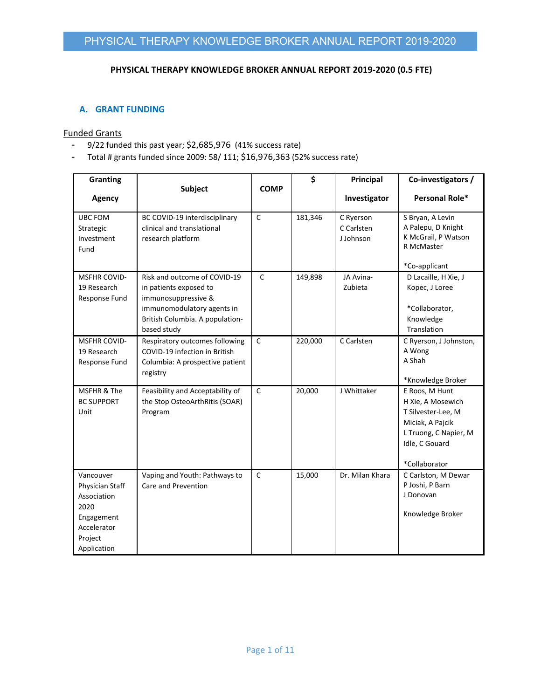### **PHYSICAL THERAPY KNOWLEDGE BROKER ANNUAL REPORT 2019‐2020 (0.5 FTE)**

### **A. GRANT FUNDING**

#### Funded Grants

- 9/22 funded this past year; \$2,685,976 (41% success rate)
- Total # grants funded since 2009: 58/ 111; \$16,976,363 (52% success rate)

| <b>Granting</b>                                                                                            |                                                                                                                                                               |              | \$      | Principal                            | Co-investigators /                                                                                                                        |
|------------------------------------------------------------------------------------------------------------|---------------------------------------------------------------------------------------------------------------------------------------------------------------|--------------|---------|--------------------------------------|-------------------------------------------------------------------------------------------------------------------------------------------|
| <b>Agency</b>                                                                                              | Subject                                                                                                                                                       | <b>COMP</b>  |         | Investigator                         | Personal Role*                                                                                                                            |
| <b>UBC FOM</b><br>Strategic<br>Investment<br>Fund                                                          | BC COVID-19 interdisciplinary<br>clinical and translational<br>research platform                                                                              | $\mathsf{C}$ | 181,346 | C Ryerson<br>C Carlsten<br>J Johnson | S Bryan, A Levin<br>A Palepu, D Knight<br>K McGrail, P Watson<br>R McMaster<br>*Co-applicant                                              |
| <b>MSFHR COVID-</b><br>19 Research<br>Response Fund                                                        | Risk and outcome of COVID-19<br>in patients exposed to<br>immunosuppressive &<br>immunomodulatory agents in<br>British Columbia. A population-<br>based study | $\mathsf{C}$ | 149,898 | JA Avina-<br>Zubieta                 | D Lacaille, H Xie, J<br>Kopec, J Loree<br>*Collaborator,<br>Knowledge<br>Translation                                                      |
| <b>MSFHR COVID-</b><br>19 Research<br>Response Fund                                                        | Respiratory outcomes following<br>COVID-19 infection in British<br>Columbia: A prospective patient<br>registry                                                | $\mathsf{C}$ | 220,000 | C Carlsten                           | C Ryerson, J Johnston,<br>A Wong<br>A Shah<br>*Knowledge Broker                                                                           |
| MSFHR & The<br><b>BC SUPPORT</b><br>Unit                                                                   | Feasibility and Acceptability of<br>the Stop OsteoArthRitis (SOAR)<br>Program                                                                                 | $\mathsf{C}$ | 20,000  | J Whittaker                          | E Roos, M Hunt<br>H Xie, A Mosewich<br>T Silvester-Lee, M<br>Miciak, A Pajcik<br>L Truong, C Napier, M<br>Idle, C Gouard<br>*Collaborator |
| Vancouver<br>Physician Staff<br>Association<br>2020<br>Engagement<br>Accelerator<br>Project<br>Application | Vaping and Youth: Pathways to<br>Care and Prevention                                                                                                          | $\mathsf{C}$ | 15,000  | Dr. Milan Khara                      | C Carlston, M Dewar<br>P Joshi, P Barn<br>J Donovan<br>Knowledge Broker                                                                   |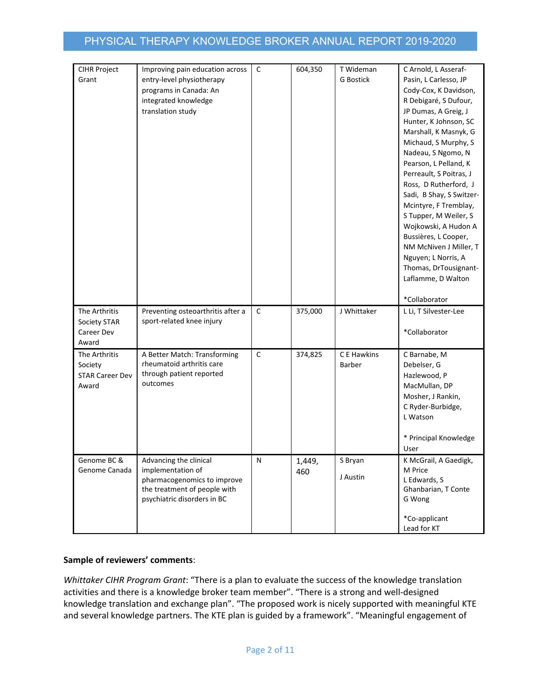| CIHR Project                 | Improving pain education across   | $\mathsf{C}$ | 604,350       | T Wideman        | C Arnold, L Asseraf-             |
|------------------------------|-----------------------------------|--------------|---------------|------------------|----------------------------------|
| Grant                        | entry-level physiotherapy         |              |               | <b>G Bostick</b> | Pasin, L Carlesso, JP            |
|                              | programs in Canada: An            |              |               |                  | Cody-Cox, K Davidson,            |
|                              | integrated knowledge              |              |               |                  | R Debigaré, S Dufour,            |
|                              | translation study                 |              |               |                  | JP Dumas, A Greig, J             |
|                              |                                   |              |               |                  | Hunter, K Johnson, SC            |
|                              |                                   |              |               |                  | Marshall, K Masnyk, G            |
|                              |                                   |              |               |                  | Michaud, S Murphy, S             |
|                              |                                   |              |               |                  | Nadeau, S Ngomo, N               |
|                              |                                   |              |               |                  | Pearson, L Pelland, K            |
|                              |                                   |              |               |                  | Perreault, S Poitras, J          |
|                              |                                   |              |               |                  | Ross, D Rutherford, J            |
|                              |                                   |              |               |                  | Sadi, B Shay, S Switzer-         |
|                              |                                   |              |               |                  | Mcintyre, F Tremblay,            |
|                              |                                   |              |               |                  | S Tupper, M Weiler, S            |
|                              |                                   |              |               |                  | Wojkowski, A Hudon A             |
|                              |                                   |              |               |                  | Bussières, L Cooper,             |
|                              |                                   |              |               |                  | NM McNiven J Miller, T           |
|                              |                                   |              |               |                  | Nguyen; L Norris, A              |
|                              |                                   |              |               |                  | Thomas, DrTousignant-            |
|                              |                                   |              |               |                  | Laflamme, D Walton               |
|                              |                                   |              |               |                  | *Collaborator                    |
| The Arthritis                | Preventing osteoarthritis after a | $\mathsf C$  | 375,000       | J Whittaker      | L Li, T Silvester-Lee            |
| Society STAR                 | sport-related knee injury         |              |               |                  |                                  |
| Career Dev                   |                                   |              |               |                  | *Collaborator                    |
| Award                        |                                   |              |               |                  |                                  |
| The Arthritis                | A Better Match: Transforming      | $\mathsf C$  | 374,825       | C E Hawkins      | C Barnabe, M                     |
| Society                      | rheumatoid arthritis care         |              |               | Barber           | Debelser, G                      |
| <b>STAR Career Dev</b>       | through patient reported          |              |               |                  | Hazlewood, P                     |
| Award                        | outcomes                          |              |               |                  | MacMullan, DP                    |
|                              |                                   |              |               |                  | Mosher, J Rankin,                |
|                              |                                   |              |               |                  | C Ryder-Burbidge,                |
|                              |                                   |              |               |                  | L Watson                         |
|                              |                                   |              |               |                  |                                  |
|                              |                                   |              |               |                  | * Principal Knowledge<br>User    |
|                              | Advancing the clinical            |              |               | S Bryan          |                                  |
| Genome BC &<br>Genome Canada | implementation of                 | Ν            | 1,449,<br>460 |                  | K McGrail, A Gaedigk,<br>M Price |
|                              | pharmacogenomics to improve       |              |               | J Austin         | L Edwards, S                     |
|                              | the treatment of people with      |              |               |                  | Ghanbarian, T Conte              |
|                              | psychiatric disorders in BC       |              |               |                  | G Wong                           |
|                              |                                   |              |               |                  |                                  |
|                              |                                   |              |               |                  | *Co-applicant                    |
|                              |                                   |              |               |                  | Lead for KT                      |

## **Sample of reviewers' comments**:

*Whittaker CIHR Program Grant*: "There is a plan to evaluate the success of the knowledge translation activities and there is a knowledge broker team member". "There is a strong and well-designed knowledge translation and exchange plan". "The proposed work is nicely supported with meaningful KTE and several knowledge partners. The KTE plan is guided by a framework". "Meaningful engagement of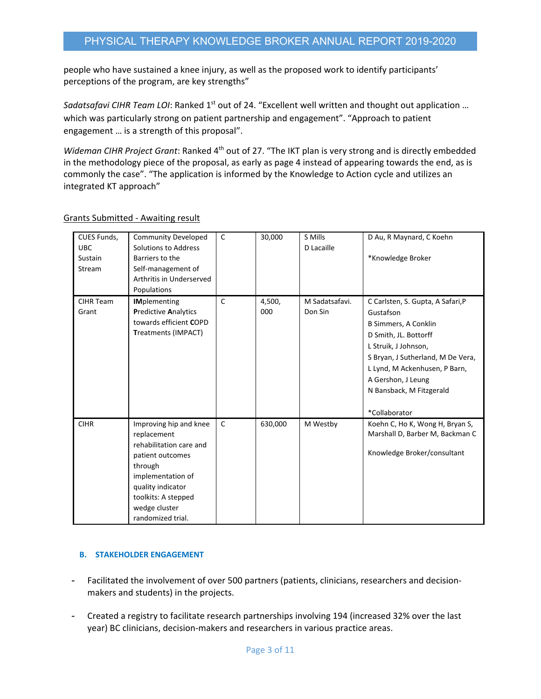people who have sustained a knee injury, as well as the proposed work to identify participants' perceptions of the program, are key strengths"

*Sadatsafavi CIHR Team LOI*: Ranked 1<sup>st</sup> out of 24. "Excellent well written and thought out application ... which was particularly strong on patient partnership and engagement". "Approach to patient engagement … is a strength of this proposal".

*Wideman CIHR Project Grant*: Ranked 4th out of 27. "The IKT plan is very strong and is directly embedded in the methodology piece of the proposal, as early as page 4 instead of appearing towards the end, as is commonly the case". "The application is informed by the Knowledge to Action cycle and utilizes an integrated KT approach"

| CUES Funds,<br><b>UBC</b><br>Sustain<br>Stream | <b>Community Developed</b><br>Solutions to Address<br>Barriers to the<br>Self-management of<br>Arthritis in Underserved<br>Populations                                                                 | $\mathsf{C}$ | 30,000        | S Mills<br>D Lacaille     | D Au, R Maynard, C Koehn<br>*Knowledge Broker                                                                                                                                                                                                                           |
|------------------------------------------------|--------------------------------------------------------------------------------------------------------------------------------------------------------------------------------------------------------|--------------|---------------|---------------------------|-------------------------------------------------------------------------------------------------------------------------------------------------------------------------------------------------------------------------------------------------------------------------|
| <b>CIHR Team</b><br>Grant                      | <b>IMplementing</b><br><b>Predictive Analytics</b><br>towards efficient COPD<br>Treatments (IMPACT)                                                                                                    | C            | 4,500,<br>000 | M Sadatsafavi.<br>Don Sin | C Carlsten, S. Gupta, A Safari, P<br>Gustafson<br><b>B Simmers, A Conklin</b><br>D Smith, JL. Bottorff<br>L Struik, J Johnson,<br>S Bryan, J Sutherland, M De Vera,<br>L Lynd, M Ackenhusen, P Barn,<br>A Gershon, J Leung<br>N Bansback, M Fitzgerald<br>*Collaborator |
| <b>CIHR</b>                                    | Improving hip and knee<br>replacement<br>rehabilitation care and<br>patient outcomes<br>through<br>implementation of<br>quality indicator<br>toolkits: A stepped<br>wedge cluster<br>randomized trial. | C            | 630,000       | M Westby                  | Koehn C, Ho K, Wong H, Bryan S,<br>Marshall D, Barber M, Backman C<br>Knowledge Broker/consultant                                                                                                                                                                       |

# Grants Submitted ‐ Awaiting result

## **B. STAKEHOLDER ENGAGEMENT**

- Facilitated the involvement of over 500 partners (patients, clinicians, researchers and decision‐ makers and students) in the projects.
- Created a registry to facilitate research partnerships involving 194 (increased 32% over the last year) BC clinicians, decision‐makers and researchers in various practice areas.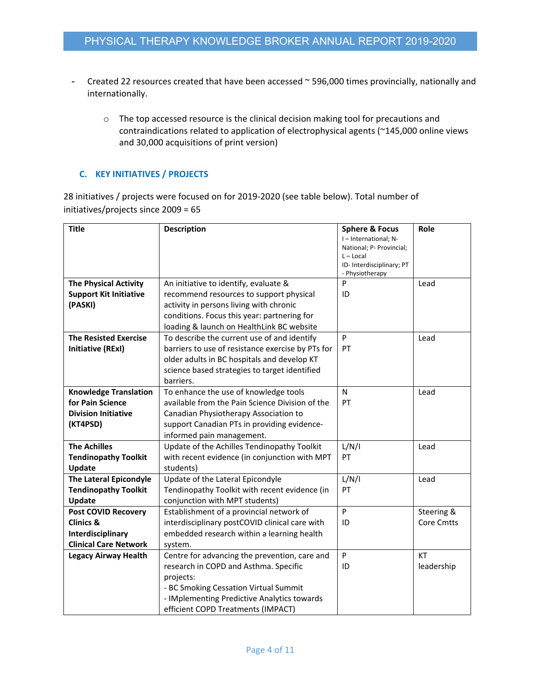- Created 22 resources created that have been accessed ~ 596,000 times provincially, nationally and internationally.
	- o The top accessed resource is the clinical decision making tool for precautions and contraindications related to application of electrophysical agents (~145,000 online views and 30,000 acquisitions of print version)

# **C. KEY INITIATIVES / PROJECTS**

28 initiatives / projects were focused on for 2019‐2020 (see table below). Total number of initiatives/projects since 2009 = 65

| <b>Title</b>                  | <b>Description</b>                                | <b>Sphere &amp; Focus</b>                       | Role              |
|-------------------------------|---------------------------------------------------|-------------------------------------------------|-------------------|
|                               |                                                   | I-International; N-<br>National; P- Provincial; |                   |
|                               |                                                   | $L - Local$                                     |                   |
|                               |                                                   | ID-Interdisciplinary; PT                        |                   |
|                               |                                                   | - Physiotherapy                                 |                   |
| <b>The Physical Activity</b>  | An initiative to identify, evaluate &             | P                                               | Lead              |
| <b>Support Kit Initiative</b> | recommend resources to support physical           | ID                                              |                   |
| (PASKI)                       | activity in persons living with chronic           |                                                 |                   |
|                               | conditions. Focus this year: partnering for       |                                                 |                   |
|                               | loading & launch on HealthLink BC website         |                                                 |                   |
| <b>The Resisted Exercise</b>  | To describe the current use of and identify       | P                                               | Lead              |
| <b>Initiative (RExI)</b>      | barriers to use of resistance exercise by PTs for | PT                                              |                   |
|                               | older adults in BC hospitals and develop KT       |                                                 |                   |
|                               | science based strategies to target identified     |                                                 |                   |
|                               | barriers.                                         |                                                 |                   |
| <b>Knowledge Translation</b>  | To enhance the use of knowledge tools             | N                                               | Lead              |
| for Pain Science              | available from the Pain Science Division of the   | PT                                              |                   |
| <b>Division Initiative</b>    | Canadian Physiotherapy Association to             |                                                 |                   |
| (KT4PSD)                      | support Canadian PTs in providing evidence-       |                                                 |                   |
|                               | informed pain management.                         |                                                 |                   |
| <b>The Achilles</b>           | Update of the Achilles Tendinopathy Toolkit       | L/N/I                                           | Lead              |
| <b>Tendinopathy Toolkit</b>   | with recent evidence (in conjunction with MPT     | PT                                              |                   |
| Update                        | students)                                         |                                                 |                   |
| The Lateral Epicondyle        | Update of the Lateral Epicondyle                  | L/N/I                                           | Lead              |
| <b>Tendinopathy Toolkit</b>   | Tendinopathy Toolkit with recent evidence (in     | PT                                              |                   |
| Update                        | conjunction with MPT students)                    |                                                 |                   |
| <b>Post COVID Recovery</b>    | Establishment of a provincial network of          | P                                               | Steering &        |
| Clinics &                     | interdisciplinary postCOVID clinical care with    | ID                                              | <b>Core Cmtts</b> |
| Interdisciplinary             | embedded research within a learning health        |                                                 |                   |
| <b>Clinical Care Network</b>  | system.                                           |                                                 |                   |
| <b>Legacy Airway Health</b>   | Centre for advancing the prevention, care and     | P                                               | <b>KT</b>         |
|                               | research in COPD and Asthma. Specific             | ID                                              | leadership        |
|                               | projects:                                         |                                                 |                   |
|                               | - BC Smoking Cessation Virtual Summit             |                                                 |                   |
|                               | - IMplementing Predictive Analytics towards       |                                                 |                   |
|                               | efficient COPD Treatments (IMPACT)                |                                                 |                   |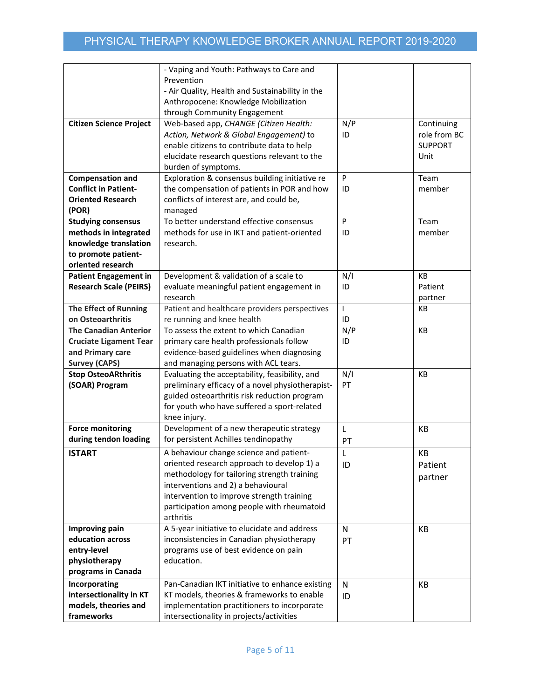|                                | - Vaping and Youth: Pathways to Care and         |              |                |
|--------------------------------|--------------------------------------------------|--------------|----------------|
|                                | Prevention                                       |              |                |
|                                | - Air Quality, Health and Sustainability in the  |              |                |
|                                |                                                  |              |                |
|                                | Anthropocene: Knowledge Mobilization             |              |                |
|                                | through Community Engagement                     |              |                |
| <b>Citizen Science Project</b> | Web-based app, CHANGE (Citizen Health:           | N/P          | Continuing     |
|                                | Action, Network & Global Engagement) to          | ID           | role from BC   |
|                                | enable citizens to contribute data to help       |              | <b>SUPPORT</b> |
|                                | elucidate research questions relevant to the     |              | Unit           |
|                                | burden of symptoms.                              |              |                |
| <b>Compensation and</b>        | Exploration & consensus building initiative re   | P            | Team           |
| <b>Conflict in Patient-</b>    | the compensation of patients in POR and how      | ID           | member         |
| <b>Oriented Research</b>       | conflicts of interest are, and could be,         |              |                |
| (POR)                          | managed                                          |              |                |
| <b>Studying consensus</b>      | To better understand effective consensus         | P            | Team           |
| methods in integrated          | methods for use in IKT and patient-oriented      | ID           | member         |
| knowledge translation          | research.                                        |              |                |
| to promote patient-            |                                                  |              |                |
| oriented research              |                                                  |              |                |
| <b>Patient Engagement in</b>   | Development & validation of a scale to           | N/I          | KB             |
| <b>Research Scale (PEIRS)</b>  |                                                  | ID           | Patient        |
|                                | evaluate meaningful patient engagement in        |              |                |
|                                | research                                         |              | partner        |
| <b>The Effect of Running</b>   | Patient and healthcare providers perspectives    | $\mathbf{I}$ | <b>KB</b>      |
| on Osteoarthritis              | re running and knee health                       | ID           |                |
| <b>The Canadian Anterior</b>   | To assess the extent to which Canadian           | N/P          | KB             |
| <b>Cruciate Ligament Tear</b>  | primary care health professionals follow         | ID           |                |
| and Primary care               | evidence-based guidelines when diagnosing        |              |                |
| <b>Survey (CAPS)</b>           | and managing persons with ACL tears.             |              |                |
| <b>Stop OsteoARthritis</b>     | Evaluating the acceptability, feasibility, and   | N/I          | <b>KB</b>      |
| (SOAR) Program                 | preliminary efficacy of a novel physiotherapist- | PT           |                |
|                                | guided osteoarthritis risk reduction program     |              |                |
|                                | for youth who have suffered a sport-related      |              |                |
|                                | knee injury.                                     |              |                |
| <b>Force monitoring</b>        | Development of a new therapeutic strategy        | L            | KB             |
| during tendon loading          | for persistent Achilles tendinopathy             | PT           |                |
| <b>ISTART</b>                  | A behaviour change science and patient-          | L            | KB             |
|                                | oriented research approach to develop 1) a       |              |                |
|                                |                                                  | ID           | Patient        |
|                                | methodology for tailoring strength training      |              | partner        |
|                                | interventions and 2) a behavioural               |              |                |
|                                | intervention to improve strength training        |              |                |
|                                | participation among people with rheumatoid       |              |                |
|                                | arthritis                                        |              |                |
| Improving pain                 | A 5-year initiative to elucidate and address     | N            | KB             |
| education across               | inconsistencies in Canadian physiotherapy        | PT           |                |
| entry-level                    | programs use of best evidence on pain            |              |                |
| physiotherapy                  | education.                                       |              |                |
| programs in Canada             |                                                  |              |                |
| Incorporating                  | Pan-Canadian IKT initiative to enhance existing  | N            | KB             |
| intersectionality in KT        | KT models, theories & frameworks to enable       | ID           |                |
| models, theories and           | implementation practitioners to incorporate      |              |                |
| frameworks                     | intersectionality in projects/activities         |              |                |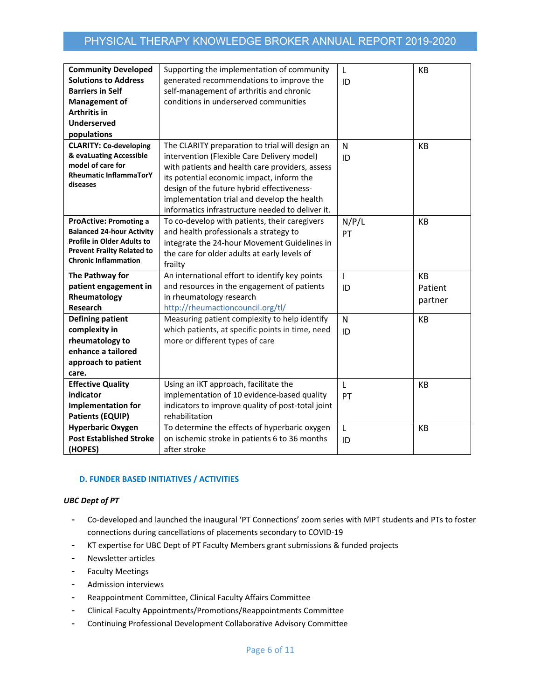| <b>Community Developed</b>        | Supporting the implementation of community        | L            | <b>KB</b> |
|-----------------------------------|---------------------------------------------------|--------------|-----------|
| <b>Solutions to Address</b>       | generated recommendations to improve the          | ID           |           |
| <b>Barriers in Self</b>           | self-management of arthritis and chronic          |              |           |
| <b>Management of</b>              | conditions in underserved communities             |              |           |
| Arthritis in                      |                                                   |              |           |
| <b>Underserved</b>                |                                                   |              |           |
| populations                       |                                                   |              |           |
| <b>CLARITY: Co-developing</b>     | The CLARITY preparation to trial will design an   | N            | <b>KB</b> |
| & evaLuating Accessible           | intervention (Flexible Care Delivery model)       | ID           |           |
| model of care for                 | with patients and health care providers, assess   |              |           |
| <b>Rheumatic InflammaTorY</b>     | its potential economic impact, inform the         |              |           |
| diseases                          | design of the future hybrid effectiveness-        |              |           |
|                                   | implementation trial and develop the health       |              |           |
|                                   | informatics infrastructure needed to deliver it.  |              |           |
| <b>ProActive: Promoting a</b>     | To co-develop with patients, their caregivers     | N/P/L        | KB        |
| <b>Balanced 24-hour Activity</b>  | and health professionals a strategy to            | PT           |           |
| <b>Profile in Older Adults to</b> | integrate the 24-hour Movement Guidelines in      |              |           |
| <b>Prevent Frailty Related to</b> | the care for older adults at early levels of      |              |           |
| <b>Chronic Inflammation</b>       | frailty                                           |              |           |
| The Pathway for                   | An international effort to identify key points    | $\mathbf{I}$ | <b>KB</b> |
| patient engagement in             | and resources in the engagement of patients       | ID           | Patient   |
| Rheumatology                      | in rheumatology research                          |              |           |
| <b>Research</b>                   | http://rheumactioncouncil.org/tl/                 |              | partner   |
| <b>Defining patient</b>           | Measuring patient complexity to help identify     | N            | KB        |
| complexity in                     | which patients, at specific points in time, need  | ID           |           |
| rheumatology to                   | more or different types of care                   |              |           |
| enhance a tailored                |                                                   |              |           |
| approach to patient               |                                                   |              |           |
| care.                             |                                                   |              |           |
| <b>Effective Quality</b>          | Using an iKT approach, facilitate the             | L            | KB        |
| indicator                         | implementation of 10 evidence-based quality       | PT           |           |
| <b>Implementation for</b>         | indicators to improve quality of post-total joint |              |           |
| <b>Patients (EQUIP)</b>           | rehabilitation                                    |              |           |
| <b>Hyperbaric Oxygen</b>          | To determine the effects of hyperbaric oxygen     | L            | <b>KB</b> |
| <b>Post Established Stroke</b>    | on ischemic stroke in patients 6 to 36 months     | ID           |           |
| (HOPES)                           | after stroke                                      |              |           |

#### **D. FUNDER BASED INITIATIVES / ACTIVITIES**

#### *UBC Dept of PT*

- Co‐developed and launched the inaugural 'PT Connections' zoom series with MPT students and PTs to foster connections during cancellations of placements secondary to COVID‐19
- KT expertise for UBC Dept of PT Faculty Members grant submissions & funded projects
- Newsletter articles
- Faculty Meetings
- Admission interviews
- Reappointment Committee, Clinical Faculty Affairs Committee
- Clinical Faculty Appointments/Promotions/Reappointments Committee
- Continuing Professional Development Collaborative Advisory Committee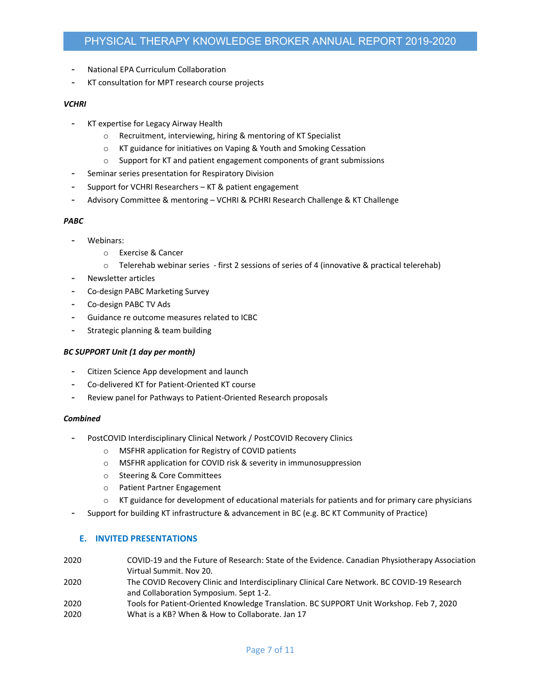- National EPA Curriculum Collaboration
- KT consultation for MPT research course projects

#### *VCHRI*

- KT expertise for Legacy Airway Health
	- o Recruitment, interviewing, hiring & mentoring of KT Specialist
	- o KT guidance for initiatives on Vaping & Youth and Smoking Cessation
	- o Support for KT and patient engagement components of grant submissions
- Seminar series presentation for Respiratory Division
- Support for VCHRI Researchers KT & patient engagement
- Advisory Committee & mentoring VCHRI & PCHRI Research Challenge & KT Challenge

#### *PABC*

- Webinars:
	- o Exercise & Cancer
	- $\circ$  Telerehab webinar series first 2 sessions of series of 4 (innovative & practical telerehab)
- Newsletter articles
- Co‐design PABC Marketing Survey
- Co‐design PABC TV Ads
- Guidance re outcome measures related to ICBC
- Strategic planning & team building

#### *BC SUPPORT Unit (1 day per month)*

- Citizen Science App development and launch
- Co‐delivered KT for Patient‐Oriented KT course
- Review panel for Pathways to Patient-Oriented Research proposals

#### *Combined*

- PostCOVID Interdisciplinary Clinical Network / PostCOVID Recovery Clinics
	- o MSFHR application for Registry of COVID patients
	- o MSFHR application for COVID risk & severity in immunosuppression
	- o Steering & Core Committees
	- o Patient Partner Engagement
	- KT guidance for development of educational materials for patients and for primary care physicians
- Support for building KT infrastructure & advancement in BC (e.g. BC KT Community of Practice)

#### **E. INVITED PRESENTATIONS**

- 2020 COVID‐19 and the Future of Research: State of the Evidence. Canadian Physiotherapy Association Virtual Summit. Nov 20.
- 2020 The COVID Recovery Clinic and Interdisciplinary Clinical Care Network. BC COVID‐19 Research and Collaboration Symposium. Sept 1‐2.
- 2020 Tools for Patient‐Oriented Knowledge Translation. BC SUPPORT Unit Workshop. Feb 7, 2020 2020 What is a KB? When & How to Collaborate. Jan 17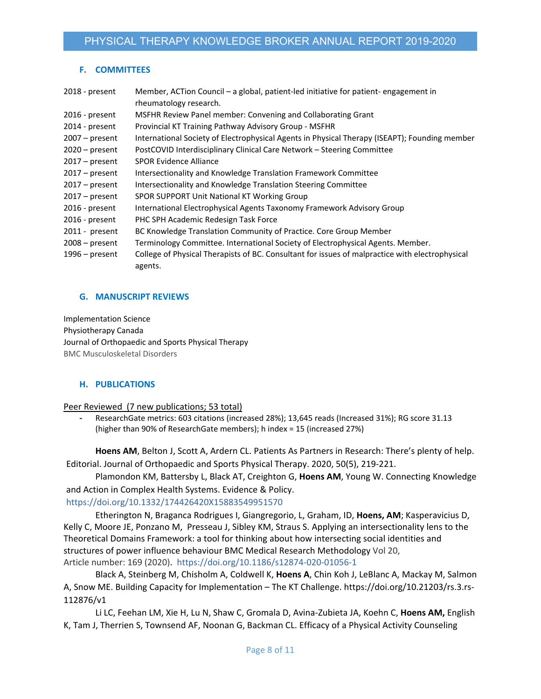# **F. COMMITTEES**

| 2018 - present   | Member, ACTion Council – a global, patient-led initiative for patient-engagement in             |
|------------------|-------------------------------------------------------------------------------------------------|
|                  | rheumatology research.                                                                          |
| 2016 - present   | MSFHR Review Panel member: Convening and Collaborating Grant                                    |
| 2014 - present   | Provincial KT Training Pathway Advisory Group - MSFHR                                           |
| $2007 - present$ | International Society of Electrophysical Agents in Physical Therapy (ISEAPT); Founding member   |
| $2020$ – present | PostCOVID Interdisciplinary Clinical Care Network - Steering Committee                          |
| $2017$ – present | <b>SPOR Evidence Alliance</b>                                                                   |
| $2017$ – present | Intersectionality and Knowledge Translation Framework Committee                                 |
| $2017 - present$ | Intersectionality and Knowledge Translation Steering Committee                                  |
| $2017$ – present | SPOR SUPPORT Unit National KT Working Group                                                     |
| 2016 - present   | International Electrophysical Agents Taxonomy Framework Advisory Group                          |
| 2016 - present   | PHC SPH Academic Redesign Task Force                                                            |
| $2011 - present$ | BC Knowledge Translation Community of Practice. Core Group Member                               |
| $2008 - present$ | Terminology Committee. International Society of Electrophysical Agents. Member.                 |
| $1996$ – present | College of Physical Therapists of BC. Consultant for issues of malpractice with electrophysical |
|                  | agents.                                                                                         |
|                  |                                                                                                 |

## **G. MANUSCRIPT REVIEWS**

Implementation Science Physiotherapy Canada Journal of Orthopaedic and Sports Physical Therapy BMC Musculoskeletal Disorders

## **H. PUBLICATIONS**

Peer Reviewed (7 new publications; 53 total)

ResearchGate metrics: 603 citations (increased 28%); 13,645 reads (Increased 31%); RG score 31.13 (higher than 90% of ResearchGate members); h index = 15 (increased 27%)

**Hoens AM**, Belton J, Scott A, Ardern CL. Patients As Partners in Research: There's plenty of help. Editorial. Journal of Orthopaedic and Sports Physical Therapy. 2020, 50(5), 219‐221.

Plamondon KM, Battersby L, Black AT, Creighton G, **Hoens AM**, Young W. Connecting Knowledge and Action in Complex Health Systems. Evidence & Policy.

## https://doi.org/10.1332/174426420X15883549951570

Etherington N, Braganca Rodrigues I, Giangregorio, L, Graham, ID, **Hoens, AM**; Kasperavicius D, Kelly C, Moore JE, Ponzano M, Presseau J, Sibley KM, Straus S. Applying an intersectionality lens to the Theoretical Domains Framework: a tool for thinking about how intersecting social identities and structures of power influence behaviour BMC Medical Research Methodology Vol 20, Article number: 169 (2020). https://doi.org/10.1186/s12874‐020‐01056‐1

Black A, Steinberg M, Chisholm A, Coldwell K, **Hoens A**, Chin Koh J, LeBlanc A, Mackay M, Salmon A, Snow ME. Building Capacity for Implementation – The KT Challenge. https://doi.org/10.21203/rs.3.rs‐ 112876/v1

Li LC, Feehan LM, Xie H, Lu N, Shaw C, Gromala D, Avina‐Zubieta JA, Koehn C, **Hoens AM,** English K, Tam J, Therrien S, Townsend AF, Noonan G, Backman CL. Efficacy of a Physical Activity Counseling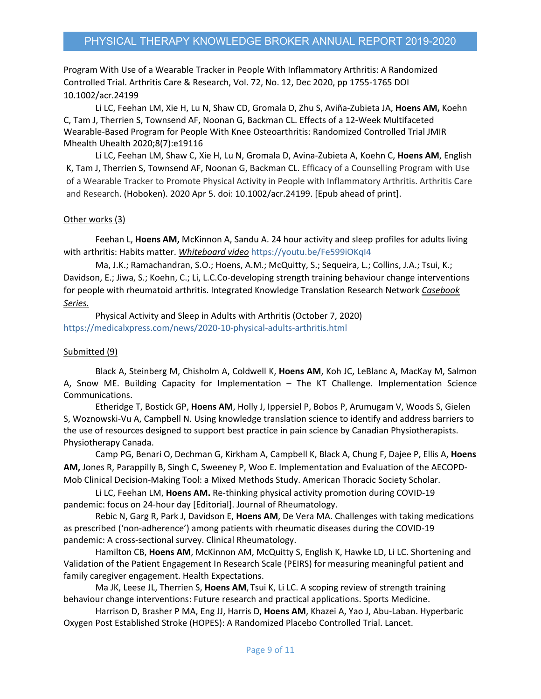Program With Use of a Wearable Tracker in People With Inflammatory Arthritis: A Randomized Controlled Trial. Arthritis Care & Research, Vol. 72, No. 12, Dec 2020, pp 1755‐1765 DOI 10.1002/acr.24199

Li LC, Feehan LM, Xie H, Lu N, Shaw CD, Gromala D, Zhu S, Aviña‐Zubieta JA, **Hoens AM,** Koehn C, Tam J, Therrien S, Townsend AF, Noonan G, Backman CL. Effects of a 12‐Week Multifaceted Wearable‐Based Program for People With Knee Osteoarthritis: Randomized Controlled Trial JMIR Mhealth Uhealth 2020;8(7):e19116

Li LC, Feehan LM, Shaw C, Xie H, Lu N, Gromala D, Avina‐Zubieta A, Koehn C, **Hoens AM**, English K, Tam J, Therrien S, Townsend AF, Noonan G, Backman CL. Efficacy of a Counselling Program with Use of a Wearable Tracker to Promote Physical Activity in People with Inflammatory Arthritis. Arthritis Care and Research. (Hoboken). 2020 Apr 5. doi: 10.1002/acr.24199. [Epub ahead of print].

## Other works (3)

Feehan L, **Hoens AM,** McKinnon A, Sandu A. 24 hour activity and sleep profiles for adults living with arthritis: Habits matter. *Whiteboard video* https://youtu.be/Fe599iOKqI4

Ma, J.K.; Ramachandran, S.O.; Hoens, A.M.; McQuitty, S.; Sequeira, L.; Collins, J.A.; Tsui, K.; Davidson, E.; Jiwa, S.; Koehn, C.; Li, L.C.Co-developing strength training behaviour change interventions for people with rheumatoid arthritis. Integrated Knowledge Translation Research Network *Casebook Series.*

Physical Activity and Sleep in Adults with Arthritis (October 7, 2020) https://medicalxpress.com/news/2020‐10‐physical‐adults‐arthritis.html

## Submitted (9)

Black A, Steinberg M, Chisholm A, Coldwell K, **Hoens AM**, Koh JC, LeBlanc A, MacKay M, Salmon A, Snow ME. Building Capacity for Implementation – The KT Challenge. Implementation Science Communications.

Etheridge T, Bostick GP, **Hoens AM**, Holly J, Ippersiel P, Bobos P, Arumugam V, Woods S, Gielen S, Woznowski‐Vu A, Campbell N. Using knowledge translation science to identify and address barriers to the use of resources designed to support best practice in pain science by Canadian Physiotherapists. Physiotherapy Canada.

Camp PG, Benari O, Dechman G, Kirkham A, Campbell K, Black A, Chung F, Dajee P, Ellis A, **Hoens AM,** Jones R, Parappilly B, Singh C, Sweeney P, Woo E. Implementation and Evaluation of the AECOPD‐ Mob Clinical Decision‐Making Tool: a Mixed Methods Study. American Thoracic Society Scholar.

Li LC, Feehan LM, **Hoens AM.** Re‐thinking physical activity promotion during COVID‐19 pandemic: focus on 24‐hour day [Editorial]. Journal of Rheumatology.

Rebic N, Garg R, Park J, Davidson E, **Hoens AM**, De Vera MA. Challenges with taking medications as prescribed ('non-adherence') among patients with rheumatic diseases during the COVID-19 pandemic: A cross‐sectional survey. Clinical Rheumatology.

Hamilton CB, **Hoens AM**, McKinnon AM, McQuitty S, English K, Hawke LD, Li LC. Shortening and Validation of the Patient Engagement In Research Scale (PEIRS) for measuring meaningful patient and family caregiver engagement. Health Expectations.

Ma JK, Leese JL, Therrien S, **Hoens AM**, Tsui K, Li LC. A scoping review of strength training behaviour change interventions: Future research and practical applications. Sports Medicine.

Harrison D, Brasher P MA, Eng JJ, Harris D, **Hoens AM**, Khazei A, Yao J, Abu‐Laban. Hyperbaric Oxygen Post Established Stroke (HOPES): A Randomized Placebo Controlled Trial. Lancet.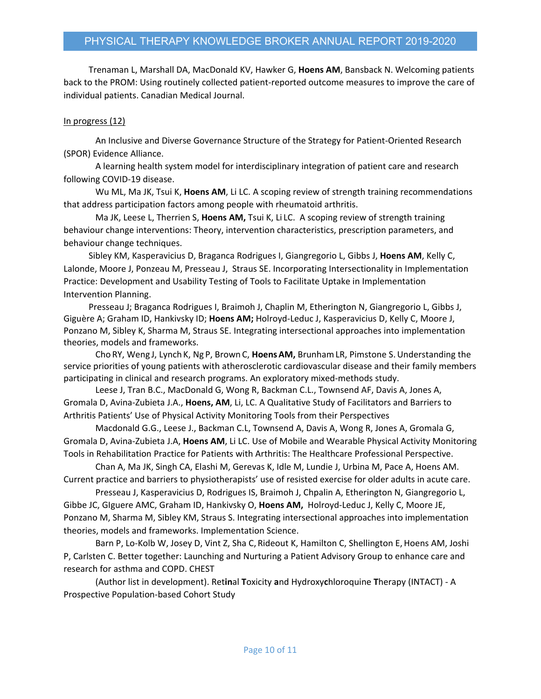Trenaman L, Marshall DA, MacDonald KV, Hawker G, **Hoens AM**, Bansback N. Welcoming patients back to the PROM: Using routinely collected patient‐reported outcome measures to improve the care of individual patients. Canadian Medical Journal.

#### In progress (12)

An Inclusive and Diverse Governance Structure of the Strategy for Patient‐Oriented Research (SPOR) Evidence Alliance.

A learning health system model for interdisciplinary integration of patient care and research following COVID‐19 disease.

Wu ML, Ma JK, Tsui K, **Hoens AM**, Li LC. A scoping review of strength training recommendations that address participation factors among people with rheumatoid arthritis.

Ma JK, Leese L, Therrien S, **Hoens AM,** Tsui K, Li LC. A scoping review of strength training behaviour change interventions: Theory, intervention characteristics, prescription parameters, and behaviour change techniques.

Sibley KM, Kasperavicius D, Braganca Rodrigues I, Giangregorio L, Gibbs J, **Hoens AM**, Kelly C, Lalonde, Moore J, Ponzeau M, Presseau J, Straus SE. Incorporating Intersectionality in Implementation Practice: Development and Usability Testing of Tools to Facilitate Uptake in Implementation Intervention Planning.

Presseau J; Braganca Rodrigues I, Braimoh J, Chaplin M, Etherington N, Giangregorio L, Gibbs J, Giguère A; Graham ID, Hankivsky ID; **Hoens AM;** Holroyd‐Leduc J, Kasperavicius D, Kelly C, Moore J, Ponzano M, Sibley K, Sharma M, Straus SE. Integrating intersectional approaches into implementation theories, models and frameworks.

Cho RY, Weng J, Lynch K, Ng P, Brown C, **HoensAM,** BrunhamLR, Pimstone S.Understanding the service priorities of young patients with atherosclerotic cardiovascular disease and their family members participating in clinical and research programs. An exploratory mixed-methods study.

Leese J, Tran B.C., MacDonald G, Wong R, Backman C.L., Townsend AF, Davis A, Jones A, Gromala D, Avina‐Zubieta J.A., **Hoens, AM**, Li, LC. A Qualitative Study of Facilitators and Barriers to Arthritis Patients' Use of Physical Activity Monitoring Tools from their Perspectives

Macdonald G.G., Leese J., Backman C.L, Townsend A, Davis A, Wong R, Jones A, Gromala G, Gromala D, Avina‐Zubieta J.A, **Hoens AM**, Li LC. Use of Mobile and Wearable Physical Activity Monitoring Tools in Rehabilitation Practice for Patients with Arthritis: The Healthcare Professional Perspective.

Chan A, Ma JK, Singh CA, Elashi M, Gerevas K, Idle M, Lundie J, Urbina M, Pace A, Hoens AM. Current practice and barriers to physiotherapists' use of resisted exercise for older adults in acute care.

Presseau J, Kasperavicius D, Rodrigues IS, Braimoh J, Chpalin A, Etherington N, Giangregorio L, Gibbe JC, GIguere AMC, Graham ID, Hankivsky O, **Hoens AM,** Holroyd‐Leduc J, Kelly C, Moore JE, Ponzano M, Sharma M, Sibley KM, Straus S. Integrating intersectional approaches into implementation theories, models and frameworks. Implementation Science.

Barn P, Lo-Kolb W, Josey D, Vint Z, Sha C, Rideout K, Hamilton C, Shellington E, Hoens AM, Joshi P, Carlsten C. Better together: Launching and Nurturing a Patient Advisory Group to enhance care and research for asthma and COPD. CHEST

(Author list in development). Ret**in**al **T**oxicity **a**nd Hydroxy**c**hloroquine **T**herapy (INTACT) ‐ A Prospective Population‐based Cohort Study